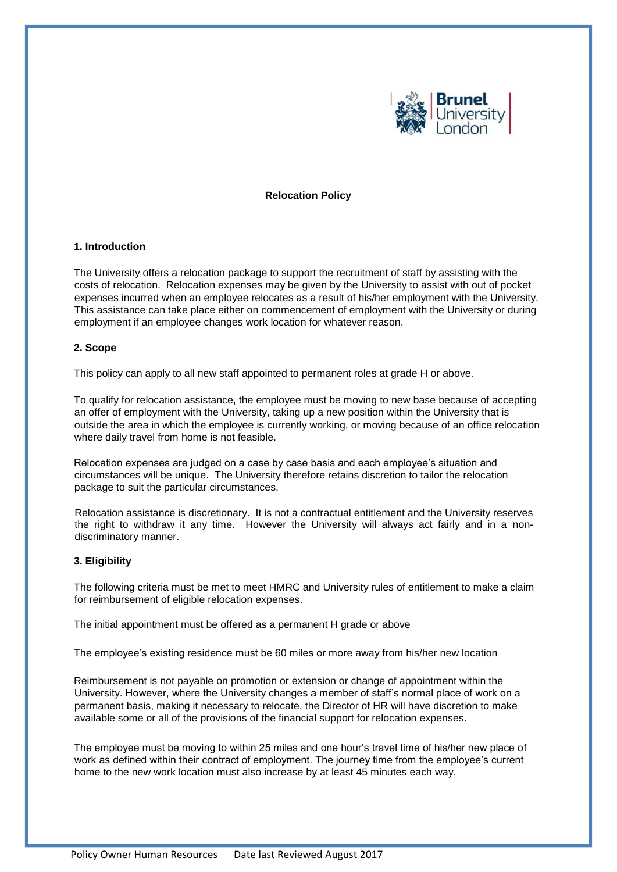

### **Relocation Policy**

# **1. Introduction**

The University offers a relocation package to support the recruitment of staff by assisting with the costs of relocation. Relocation expenses may be given by the University to assist with out of pocket expenses incurred when an employee relocates as a result of his/her employment with the University. This assistance can take place either on commencement of employment with the University or during employment if an employee changes work location for whatever reason.

# **2. Scope**

This policy can apply to all new staff appointed to permanent roles at grade H or above.

To qualify for relocation assistance, the employee must be moving to new base because of accepting an offer of employment with the University, taking up a new position within the University that is outside the area in which the employee is currently working, or moving because of an office relocation where daily travel from home is not feasible.

Relocation expenses are judged on a case by case basis and each employee's situation and circumstances will be unique. The University therefore retains discretion to tailor the relocation package to suit the particular circumstances.

Relocation assistance is discretionary. It is not a contractual entitlement and the University reserves the right to withdraw it any time. However the University will always act fairly and in a nondiscriminatory manner.

### **3. Eligibility**

The following criteria must be met to meet HMRC and University rules of entitlement to make a claim for reimbursement of eligible relocation expenses.

The initial appointment must be offered as a permanent H grade or above

The employee's existing residence must be 60 miles or more away from his/her new location

Reimbursement is not payable on promotion or extension or change of appointment within the University. However, where the University changes a member of staff's normal place of work on a permanent basis, making it necessary to relocate, the Director of HR will have discretion to make available some or all of the provisions of the financial support for relocation expenses.

The employee must be moving to within 25 miles and one hour's travel time of his/her new place of work as defined within their contract of employment. The journey time from the employee's current home to the new work location must also increase by at least 45 minutes each way.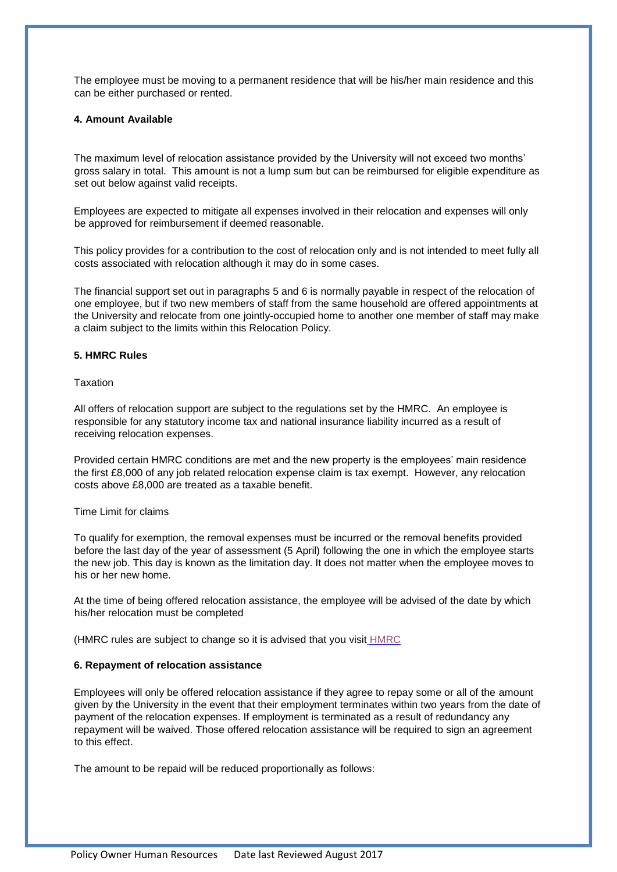The employee must be moving to a permanent residence that will be his/her main residence and this can be either purchased or rented.

# **4. Amount Available**

The maximum level of relocation assistance provided by the University will not exceed two months' gross salary in total. This amount is not a lump sum but can be reimbursed for eligible expenditure as set out below against valid receipts.

Employees are expected to mitigate all expenses involved in their relocation and expenses will only be approved for reimbursement if deemed reasonable.

This policy provides for a contribution to the cost of relocation only and is not intended to meet fully all costs associated with relocation although it may do in some cases.

The financial support set out in paragraphs 5 and 6 is normally payable in respect of the relocation of one employee, but if two new members of staff from the same household are offered appointments at the University and relocate from one jointly-occupied home to another one member of staff may make a claim subject to the limits within this Relocation Policy.

# **5. HMRC Rules**

# **Taxation**

All offers of relocation support are subject to the regulations set by the HMRC. An employee is responsible for any statutory income tax and national insurance liability incurred as a result of receiving relocation expenses.

Provided certain HMRC conditions are met and the new property is the employees' main residence the first £8,000 of any job related relocation expense claim is tax exempt. However, any relocation costs above £8,000 are treated as a taxable benefit.

### Time Limit for claims

To qualify for exemption, the removal expenses must be incurred or the removal benefits provided before the last day of the year of assessment (5 April) following the one in which the employee starts the new job. This day is known as the limitation day. It does not matter when the employee moves to his or her new home.

At the time of being offered relocation assistance, the employee will be advised of the date by which his/her relocation must be completed

(HMRC rules are subject to change so it is advised that you visit [HMRC](https://www.gov.uk/expenses-and-benefits-relocation/whats-exempt)

### **6. Repayment of relocation assistance**

Employees will only be offered relocation assistance if they agree to repay some or all of the amount given by the University in the event that their employment terminates within two years from the date of payment of the relocation expenses. If employment is terminated as a result of redundancy any repayment will be waived. Those offered relocation assistance will be required to sign an agreement to this effect.

The amount to be repaid will be reduced proportionally as follows: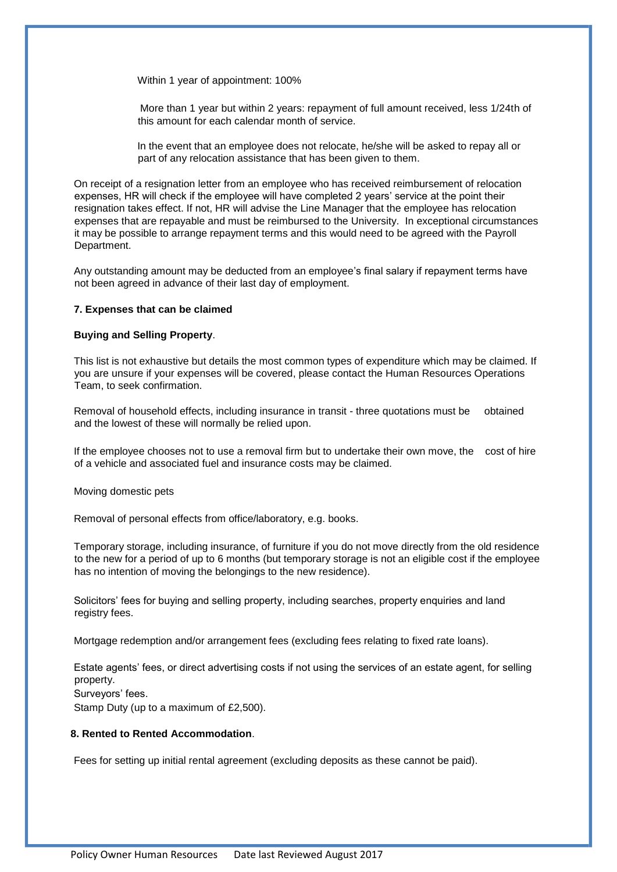Within 1 year of appointment: 100%

More than 1 year but within 2 years: repayment of full amount received, less 1/24th of this amount for each calendar month of service.

In the event that an employee does not relocate, he/she will be asked to repay all or part of any relocation assistance that has been given to them.

On receipt of a resignation letter from an employee who has received reimbursement of relocation expenses, HR will check if the employee will have completed 2 years' service at the point their resignation takes effect. If not, HR will advise the Line Manager that the employee has relocation expenses that are repayable and must be reimbursed to the University. In exceptional circumstances it may be possible to arrange repayment terms and this would need to be agreed with the Payroll Department.

Any outstanding amount may be deducted from an employee's final salary if repayment terms have not been agreed in advance of their last day of employment.

### **7. Expenses that can be claimed**

### **Buying and Selling Property**.

This list is not exhaustive but details the most common types of expenditure which may be claimed. If you are unsure if your expenses will be covered, please contact the Human Resources Operations Team, to seek confirmation.

Removal of household effects, including insurance in transit - three quotations must be obtained and the lowest of these will normally be relied upon.

If the employee chooses not to use a removal firm but to undertake their own move, the cost of hire of a vehicle and associated fuel and insurance costs may be claimed.

Moving domestic pets

Removal of personal effects from office/laboratory, e.g. books.

Temporary storage, including insurance, of furniture if you do not move directly from the old residence to the new for a period of up to 6 months (but temporary storage is not an eligible cost if the employee has no intention of moving the belongings to the new residence).

Solicitors' fees for buying and selling property, including searches, property enquiries and land registry fees.

Mortgage redemption and/or arrangement fees (excluding fees relating to fixed rate loans).

Estate agents' fees, or direct advertising costs if not using the services of an estate agent, for selling property. Surveyors' fees. Stamp Duty (up to a maximum of £2,500).

#### **8. Rented to Rented Accommodation**.

Fees for setting up initial rental agreement (excluding deposits as these cannot be paid).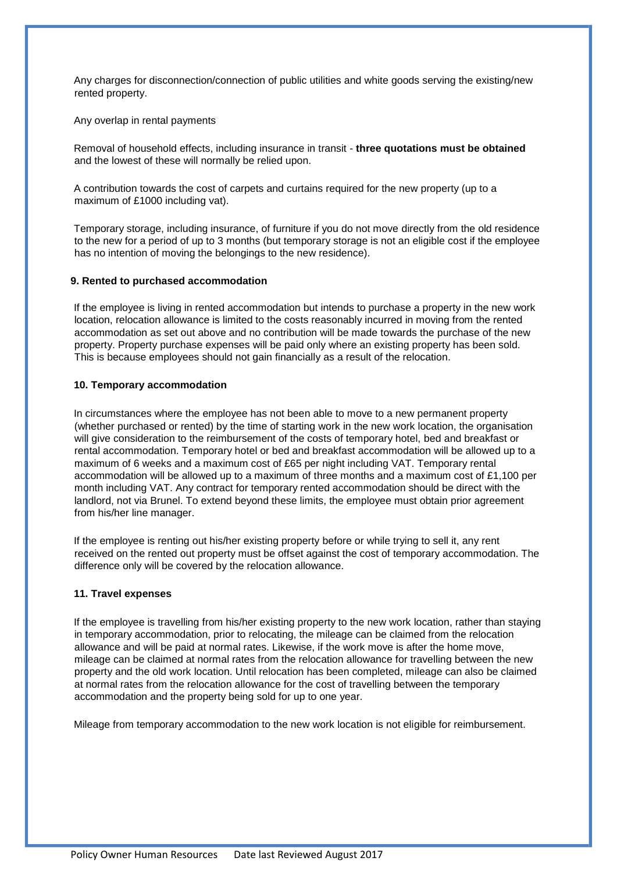Any charges for disconnection/connection of public utilities and white goods serving the existing/new rented property.

Any overlap in rental payments

Removal of household effects, including insurance in transit - **three quotations must be obtained**  and the lowest of these will normally be relied upon.

A contribution towards the cost of carpets and curtains required for the new property (up to a maximum of £1000 including vat).

Temporary storage, including insurance, of furniture if you do not move directly from the old residence to the new for a period of up to 3 months (but temporary storage is not an eligible cost if the employee has no intention of moving the belongings to the new residence).

### **9. Rented to purchased accommodation**

If the employee is living in rented accommodation but intends to purchase a property in the new work location, relocation allowance is limited to the costs reasonably incurred in moving from the rented accommodation as set out above and no contribution will be made towards the purchase of the new property. Property purchase expenses will be paid only where an existing property has been sold. This is because employees should not gain financially as a result of the relocation.

### **10. Temporary accommodation**

In circumstances where the employee has not been able to move to a new permanent property (whether purchased or rented) by the time of starting work in the new work location, the organisation will give consideration to the reimbursement of the costs of temporary hotel, bed and breakfast or rental accommodation. Temporary hotel or bed and breakfast accommodation will be allowed up to a maximum of 6 weeks and a maximum cost of £65 per night including VAT. Temporary rental accommodation will be allowed up to a maximum of three months and a maximum cost of £1,100 per month including VAT. Any contract for temporary rented accommodation should be direct with the landlord, not via Brunel. To extend beyond these limits, the employee must obtain prior agreement from his/her line manager.

If the employee is renting out his/her existing property before or while trying to sell it, any rent received on the rented out property must be offset against the cost of temporary accommodation. The difference only will be covered by the relocation allowance.

#### **11. Travel expenses**

If the employee is travelling from his/her existing property to the new work location, rather than staying in temporary accommodation, prior to relocating, the mileage can be claimed from the relocation allowance and will be paid at normal rates. Likewise, if the work move is after the home move, mileage can be claimed at normal rates from the relocation allowance for travelling between the new property and the old work location. Until relocation has been completed, mileage can also be claimed at normal rates from the relocation allowance for the cost of travelling between the temporary accommodation and the property being sold for up to one year.

Mileage from temporary accommodation to the new work location is not eligible for reimbursement.